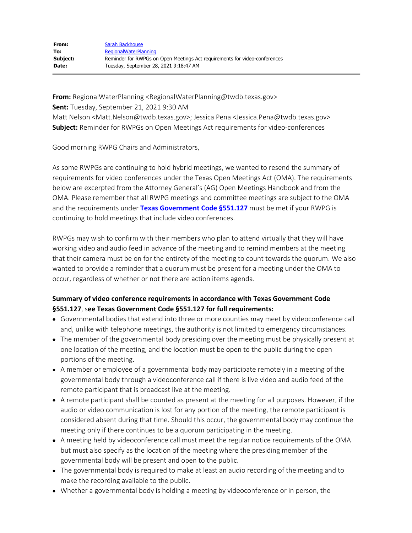**From:** RegionalWaterPlanning <RegionalWaterPlanning@twdb.texas.gov> **Sent:** Tuesday, September 21, 2021 9:30 AM Matt Nelson <Matt.Nelson@twdb.texas.gov>; Jessica Pena <Jessica.Pena@twdb.texas.gov> **Subject:** Reminder for RWPGs on Open Meetings Act requirements for video-conferences

Good morning RWPG Chairs and Administrators,

As some RWPGs are continuing to hold hybrid meetings, we wanted to resend the summary of requirements for video conferences under the Texas Open Meetings Act (OMA). The requirements below are excerpted from the Attorney General's (AG) Open Meetings Handbook and from the OMA. Please remember that all RWPG meetings and committee meetings are subject to the OMA and the requirements under **[Texas Government Code §551.127](https://statutes.capitol.texas.gov/Docs/GV/htm/GV.551.htm)** must be met if your RWPG is continuing to hold meetings that include video conferences.

RWPGs may wish to confirm with their members who plan to attend virtually that they will have working video and audio feed in advance of the meeting and to remind members at the meeting that their camera must be on for the entirety of the meeting to count towards the quorum. We also wanted to provide a reminder that a quorum must be present for a meeting under the OMA to occur, regardless of whether or not there are action items agenda.

## **Summary of video conference requirements in accordance with Texas Government Code §551.127**, s**ee Texas Government Code §551.127 for full requirements:**

- Governmental bodies that extend into three or more counties may meet by videoconference call and, unlike with telephone meetings, the authority is not limited to emergency circumstances.
- The member of the governmental body presiding over the meeting must be physically present at one location of the meeting, and the location must be open to the public during the open portions of the meeting.
- A member or employee of a governmental body may participate remotely in a meeting of the governmental body through a videoconference call if there is live video and audio feed of the remote participant that is broadcast live at the meeting.
- A remote participant shall be counted as present at the meeting for all purposes. However, if the audio or video communication is lost for any portion of the meeting, the remote participant is considered absent during that time. Should this occur, the governmental body may continue the meeting only if there continues to be a quorum participating in the meeting.
- A meeting held by videoconference call must meet the regular notice requirements of the OMA but must also specify as the location of the meeting where the presiding member of the governmental body will be present and open to the public.
- The governmental body is required to make at least an audio recording of the meeting and to make the recording available to the public.
- Whether a governmental body is holding a meeting by videoconference or in person, the